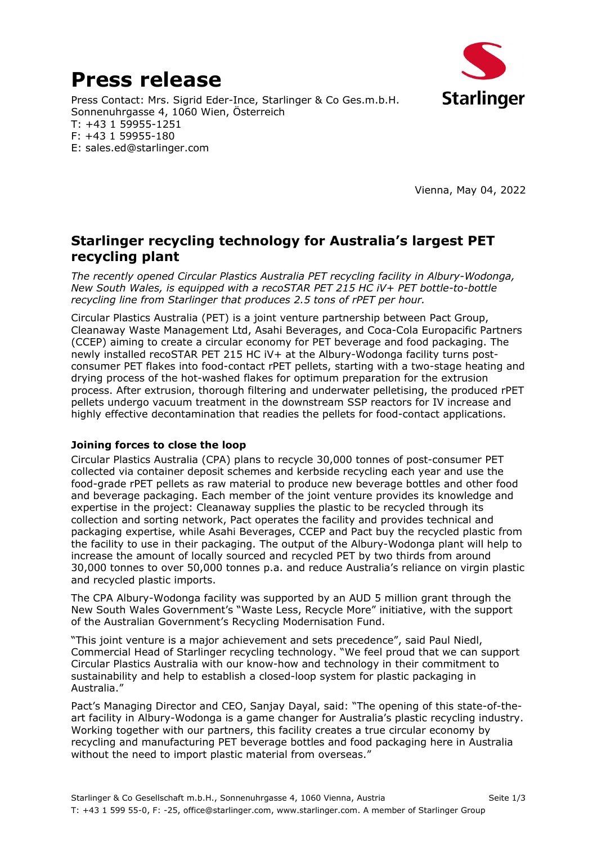# **Press release**



E: sales.ed@starlinger.com

F: +43 1 59955-180

Vienna, May 04, 2022

## **Starlinger recycling technology for Australia's largest PET recycling plant**

*The recently opened Circular Plastics Australia PET recycling facility in Albury-Wodonga, New South Wales, is equipped with a recoSTAR PET 215 HC iV+ PET bottle-to-bottle recycling line from Starlinger that produces 2.5 tons of rPET per hour.* 

Circular Plastics Australia (PET) is a joint venture partnership between Pact Group, Cleanaway Waste Management Ltd, Asahi Beverages, and Coca-Cola Europacific Partners (CCEP) aiming to create a circular economy for PET beverage and food packaging. The newly installed recoSTAR PET 215 HC iV*+* at the Albury-Wodonga facility turns postconsumer PET flakes into food-contact rPET pellets, starting with a two-stage heating and drying process of the hot-washed flakes for optimum preparation for the extrusion process. After extrusion, thorough filtering and underwater pelletising, the produced rPET pellets undergo vacuum treatment in the downstream SSP reactors for IV increase and highly effective decontamination that readies the pellets for food-contact applications.

#### **Joining forces to close the loop**

Circular Plastics Australia (CPA) plans to recycle 30,000 tonnes of post-consumer PET collected via container deposit schemes and kerbside recycling each year and use the food-grade rPET pellets as raw material to produce new beverage bottles and other food and beverage packaging. Each member of the joint venture provides its knowledge and expertise in the project: Cleanaway supplies the plastic to be recycled through its collection and sorting network, Pact operates the facility and provides technical and packaging expertise, while Asahi Beverages, CCEP and Pact buy the recycled plastic from the facility to use in their packaging. The output of the Albury-Wodonga plant will help to increase the amount of locally sourced and recycled PET by two thirds from around 30,000 tonnes to over 50,000 tonnes p.a. and reduce Australia's reliance on virgin plastic and recycled plastic imports.

The CPA Albury-Wodonga facility was supported by an AUD 5 million grant through the New South Wales Government's "Waste Less, Recycle More" initiative, with the support of the Australian Government's Recycling Modernisation Fund.

"This joint venture is a major achievement and sets precedence", said Paul Niedl, Commercial Head of Starlinger recycling technology. "We feel proud that we can support Circular Plastics Australia with our know-how and technology in their commitment to sustainability and help to establish a closed-loop system for plastic packaging in Australia."

Pact's Managing Director and CEO, Sanjay Dayal, said: "The opening of this state-of-theart facility in Albury-Wodonga is a game changer for Australia's plastic recycling industry. Working together with our partners, this facility creates a true circular economy by recycling and manufacturing PET beverage bottles and food packaging here in Australia without the need to import plastic material from overseas."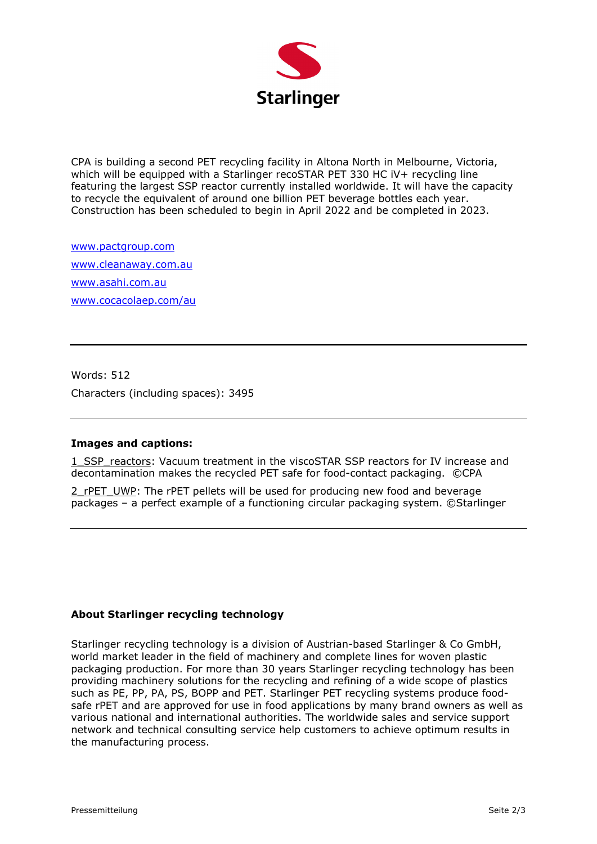

CPA is building a second PET recycling facility in Altona North in Melbourne, Victoria, which will be equipped with a Starlinger recoSTAR PET 330 HC iV+ recycling line featuring the largest SSP reactor currently installed worldwide. It will have the capacity to recycle the equivalent of around one billion PET beverage bottles each year. Construction has been scheduled to begin in April 2022 and be completed in 2023.

www.pactgroup.com www.cleanaway.com.au www.asahi.com.au www.cocacolaep.com/au

Words: 512 Characters (including spaces): 3495

#### **Images and captions:**

1 SSP reactors: Vacuum treatment in the viscoSTAR SSP reactors for IV increase and decontamination makes the recycled PET safe for food-contact packaging. ©CPA

2\_rPET\_UWP: The rPET pellets will be used for producing new food and beverage packages – a perfect example of a functioning circular packaging system. ©Starlinger

#### **About Starlinger recycling technology**

Starlinger recycling technology is a division of Austrian-based Starlinger & Co GmbH, world market leader in the field of machinery and complete lines for woven plastic packaging production. For more than 30 years Starlinger recycling technology has been providing machinery solutions for the recycling and refining of a wide scope of plastics such as PE, PP, PA, PS, BOPP and PET. Starlinger PET recycling systems produce foodsafe rPET and are approved for use in food applications by many brand owners as well as various national and international authorities. The worldwide sales and service support network and technical consulting service help customers to achieve optimum results in the manufacturing process.